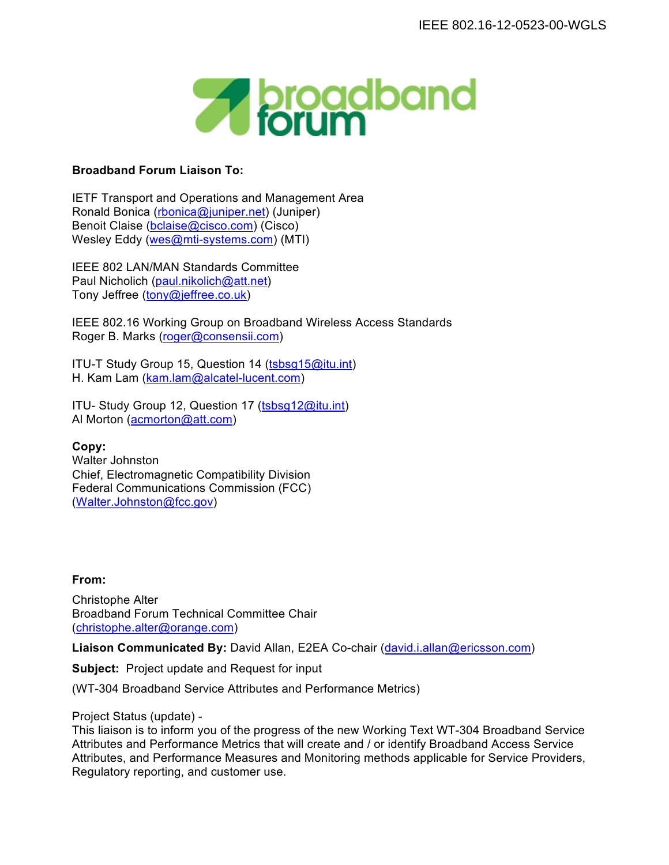

## **Broadband Forum Liaison To:**

IETF Transport and Operations and Management Area Ronald Bonica (rbonica@juniper.net) (Juniper) Benoit Claise (bclaise@cisco.com) (Cisco) Wesley Eddy (wes@mti-systems.com) (MTI)

IEEE 802 LAN/MAN Standards Committee Paul Nicholich (paul.nikolich@att.net) Tony Jeffree (tony@jeffree.co.uk)

IEEE 802.16 Working Group on Broadband Wireless Access Standards Roger B. Marks (roger@consensii.com)

ITU-T Study Group 15, Question 14 (tsbsg15@itu.int) H. Kam Lam (kam.lam@alcatel-lucent.com)

ITU- Study Group 12, Question 17 (tsbsg12@itu.int) Al Morton (acmorton@att.com)

**Copy:** Walter Johnston Chief, Electromagnetic Compatibility Division Federal Communications Commission (FCC) (Walter.Johnston@fcc.gov)

## **From:**

Christophe Alter Broadband Forum Technical Committee Chair (christophe.alter@orange.com)

**Liaison Communicated By:** David Allan, E2EA Co-chair (david.i.allan@ericsson.com)

**Subject:** Project update and Request for input

(WT-304 Broadband Service Attributes and Performance Metrics)

Project Status (update) -

This liaison is to inform you of the progress of the new Working Text WT-304 Broadband Service Attributes and Performance Metrics that will create and / or identify Broadband Access Service Attributes, and Performance Measures and Monitoring methods applicable for Service Providers, Regulatory reporting, and customer use.